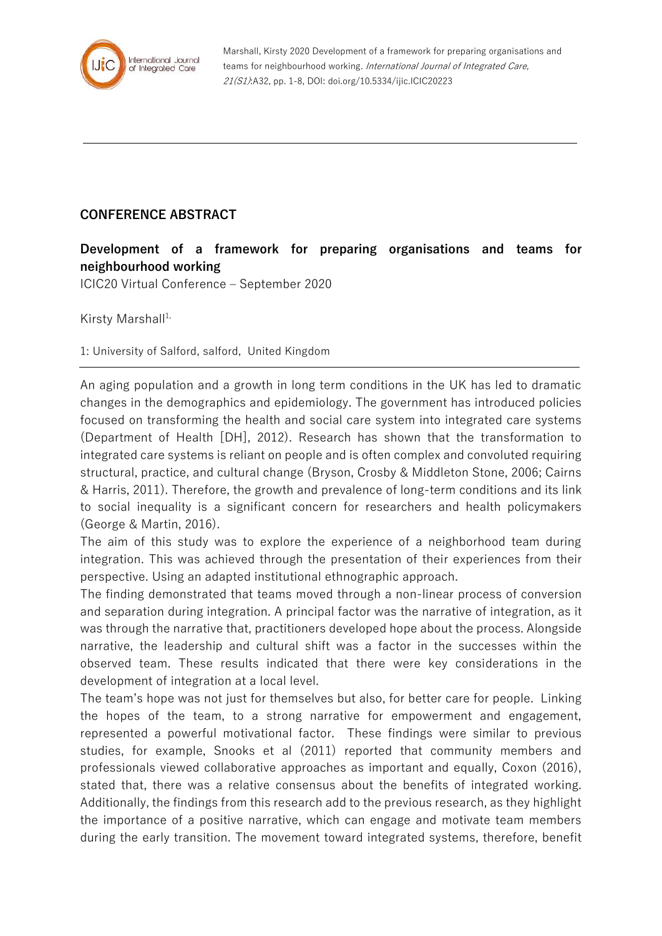

Marshall, Kirsty 2020 Development of a framework for preparing organisations and teams for neighbourhood working. International Journal of Integrated Care, 21(S1):A32, pp. 1-8, DOI: doi.org/10.5334/ijic.ICIC20223

## **CONFERENCE ABSTRACT**

## **Development of a framework for preparing organisations and teams for neighbourhood working**

ICIC20 Virtual Conference – September 2020

Kirsty Marshall $1$ ,

1: University of Salford, salford, United Kingdom

An aging population and a growth in long term conditions in the UK has led to dramatic changes in the demographics and epidemiology. The government has introduced policies focused on transforming the health and social care system into integrated care systems (Department of Health [DH], 2012). Research has shown that the transformation to integrated care systems is reliant on people and is often complex and convoluted requiring structural, practice, and cultural change (Bryson, Crosby & Middleton Stone, 2006; Cairns & Harris, 2011). Therefore, the growth and prevalence of long-term conditions and its link to social inequality is a significant concern for researchers and health policymakers (George & Martin, 2016).

The aim of this study was to explore the experience of a neighborhood team during integration. This was achieved through the presentation of their experiences from their perspective. Using an adapted institutional ethnographic approach.

The finding demonstrated that teams moved through a non-linear process of conversion and separation during integration. A principal factor was the narrative of integration, as it was through the narrative that, practitioners developed hope about the process. Alongside narrative, the leadership and cultural shift was a factor in the successes within the observed team. These results indicated that there were key considerations in the development of integration at a local level.

The team's hope was not just for themselves but also, for better care for people. Linking the hopes of the team, to a strong narrative for empowerment and engagement, represented a powerful motivational factor. These findings were similar to previous studies, for example, Snooks et al (2011) reported that community members and professionals viewed collaborative approaches as important and equally, Coxon (2016), stated that, there was a relative consensus about the benefits of integrated working. Additionally, the findings from this research add to the previous research, as they highlight the importance of a positive narrative, which can engage and motivate team members during the early transition. The movement toward integrated systems, therefore, benefit